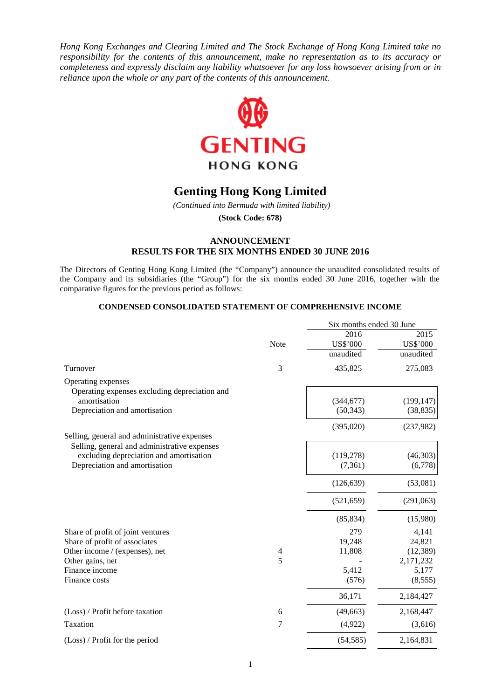*Hong Kong Exchanges and Clearing Limited and The Stock Exchange of Hong Kong Limited take no responsibility for the contents of this announcement, make no representation as to its accuracy or completeness and expressly disclaim any liability whatsoever for any loss howsoever arising from or in reliance upon the whole or any part of the contents of this announcement.*



# **Genting Hong Kong Limited**

*(Continued into Bermuda with limited liability)*

**(Stock Code: 678)**

## **ANNOUNCEMENT RESULTS FOR THE SIX MONTHS ENDED 30 JUNE 2016**

The Directors of Genting Hong Kong Limited (the "Company") announce the unaudited consolidated results of the Company and its subsidiaries (the "Group") for the six months ended 30 June 2016, together with the comparative figures for the previous period as follows:

## **CONDENSED CONSOLIDATED STATEMENT OF COMPREHENSIVE INCOME**

|                                                                                         |                | Six months ended 30 June |            |
|-----------------------------------------------------------------------------------------|----------------|--------------------------|------------|
|                                                                                         |                | 2016                     | 2015       |
|                                                                                         | Note           | US\$'000                 | US\$'000   |
|                                                                                         |                | unaudited                | unaudited  |
| Turnover                                                                                | 3              | 435,825                  | 275,083    |
| Operating expenses                                                                      |                |                          |            |
| Operating expenses excluding depreciation and                                           |                |                          |            |
| amortisation                                                                            |                | (344, 677)               | (199, 147) |
| Depreciation and amortisation                                                           |                | (50, 343)                | (38, 835)  |
|                                                                                         |                | (395,020)                | (237,982)  |
| Selling, general and administrative expenses                                            |                |                          |            |
| Selling, general and administrative expenses<br>excluding depreciation and amortisation |                | (119, 278)               | (46,303)   |
| Depreciation and amortisation                                                           |                | (7,361)                  | (6,778)    |
|                                                                                         |                |                          |            |
|                                                                                         |                | (126, 639)               | (53,081)   |
|                                                                                         |                | (521, 659)               | (291,063)  |
|                                                                                         |                | (85, 834)                | (15,980)   |
| Share of profit of joint ventures                                                       |                | 279                      | 4,141      |
| Share of profit of associates                                                           |                | 19,248                   | 24,821     |
| Other income / (expenses), net                                                          | $\overline{4}$ | 11,808                   | (12, 389)  |
| Other gains, net                                                                        | 5              |                          | 2,171,232  |
| Finance income                                                                          |                | 5,412                    | 5,177      |
| Finance costs                                                                           |                | (576)                    | (8,555)    |
|                                                                                         |                | 36,171                   | 2,184,427  |
| (Loss) / Profit before taxation                                                         | 6              | (49, 663)                | 2,168,447  |
| Taxation                                                                                | 7              | (4,922)                  | (3,616)    |
| $(Loss)$ / Profit for the period                                                        |                | (54, 585)                | 2,164,831  |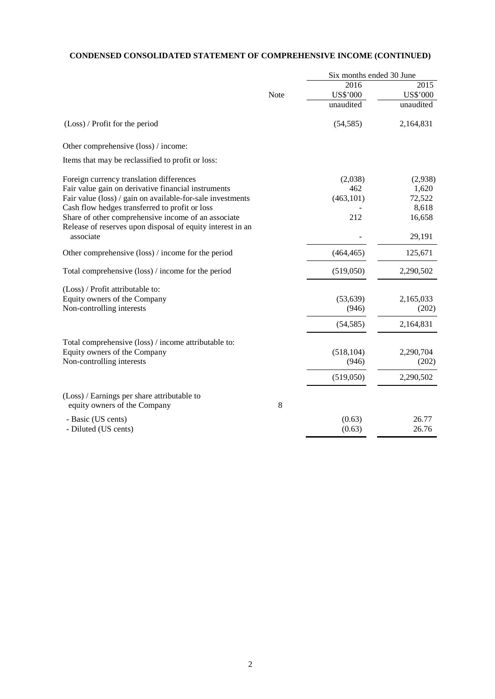## **CONDENSED CONSOLIDATED STATEMENT OF COMPREHENSIVE INCOME (CONTINUED)**

|                                                                         |      | Six months ended 30 June |           |
|-------------------------------------------------------------------------|------|--------------------------|-----------|
|                                                                         |      | 2016                     | 2015      |
|                                                                         | Note | US\$'000                 | US\$'000  |
|                                                                         |      | unaudited                | unaudited |
| (Loss) / Profit for the period                                          |      | (54, 585)                | 2,164,831 |
| Other comprehensive (loss) / income:                                    |      |                          |           |
| Items that may be reclassified to profit or loss:                       |      |                          |           |
| Foreign currency translation differences                                |      | (2,038)                  | (2,938)   |
| Fair value gain on derivative financial instruments                     |      | 462                      | 1,620     |
| Fair value (loss) / gain on available-for-sale investments              |      | (463, 101)               | 72,522    |
| Cash flow hedges transferred to profit or loss                          |      |                          | 8,618     |
| Share of other comprehensive income of an associate                     |      | 212                      | 16,658    |
| Release of reserves upon disposal of equity interest in an<br>associate |      |                          | 29,191    |
| Other comprehensive (loss) / income for the period                      |      | (464, 465)               | 125,671   |
| Total comprehensive (loss) / income for the period                      |      | (519,050)                | 2,290,502 |
| (Loss) / Profit attributable to:                                        |      |                          |           |
| Equity owners of the Company                                            |      | (53, 639)                | 2,165,033 |
| Non-controlling interests                                               |      | (946)                    | (202)     |
|                                                                         |      | (54, 585)                | 2,164,831 |
| Total comprehensive (loss) / income attributable to:                    |      |                          |           |
| Equity owners of the Company                                            |      | (518, 104)               | 2,290,704 |
| Non-controlling interests                                               |      | (946)                    | (202)     |
|                                                                         |      | (519,050)                | 2,290,502 |
| (Loss) / Earnings per share attributable to                             |      |                          |           |
| equity owners of the Company                                            | 8    |                          |           |
|                                                                         |      |                          |           |
| - Basic (US cents)                                                      |      | (0.63)                   | 26.77     |
| - Diluted (US cents)                                                    |      | (0.63)                   | 26.76     |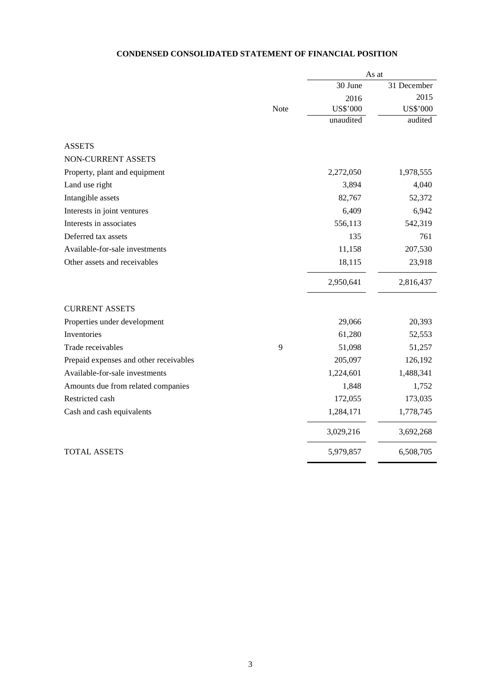## **CONDENSED CONSOLIDATED STATEMENT OF FINANCIAL POSITION**

|                                        |      | As at     |             |
|----------------------------------------|------|-----------|-------------|
|                                        |      | 30 June   | 31 December |
|                                        |      | 2016      | 2015        |
|                                        | Note | US\$'000  | US\$'000    |
|                                        |      | unaudited | audited     |
| <b>ASSETS</b>                          |      |           |             |
| NON-CURRENT ASSETS                     |      |           |             |
| Property, plant and equipment          |      | 2,272,050 | 1,978,555   |
| Land use right                         |      | 3,894     | 4,040       |
| Intangible assets                      |      | 82,767    | 52,372      |
| Interests in joint ventures            |      | 6,409     | 6,942       |
| Interests in associates                |      | 556,113   | 542,319     |
| Deferred tax assets                    |      | 135       | 761         |
| Available-for-sale investments         |      | 11,158    | 207,530     |
| Other assets and receivables           |      | 18,115    | 23,918      |
|                                        |      | 2,950,641 | 2,816,437   |
| <b>CURRENT ASSETS</b>                  |      |           |             |
| Properties under development           |      | 29,066    | 20,393      |
| Inventories                            |      | 61,280    | 52,553      |
| Trade receivables                      | 9    | 51,098    | 51,257      |
| Prepaid expenses and other receivables |      | 205,097   | 126,192     |
| Available-for-sale investments         |      | 1,224,601 | 1,488,341   |
| Amounts due from related companies     |      | 1,848     | 1,752       |
| Restricted cash                        |      | 172,055   | 173,035     |
| Cash and cash equivalents              |      | 1,284,171 | 1,778,745   |
|                                        |      | 3,029,216 | 3,692,268   |
| <b>TOTAL ASSETS</b>                    |      | 5,979,857 | 6,508,705   |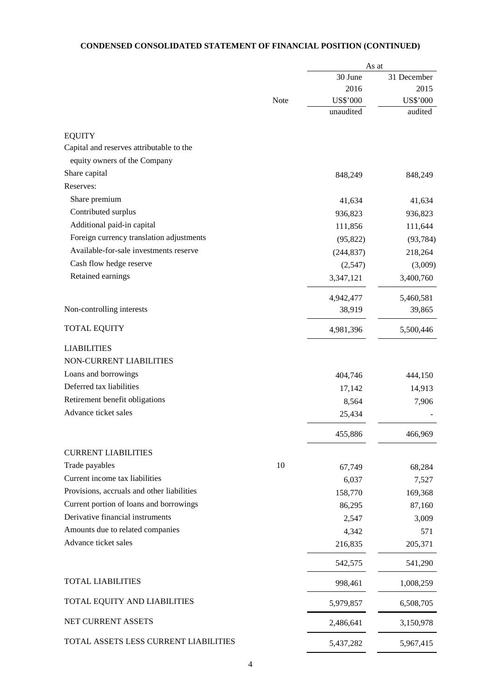## **CONDENSED CONSOLIDATED STATEMENT OF FINANCIAL POSITION (CONTINUED)**

|                                            |      | As at      |             |
|--------------------------------------------|------|------------|-------------|
|                                            |      | 30 June    | 31 December |
|                                            |      | 2016       | 2015        |
|                                            | Note | US\$'000   | US\$'000    |
|                                            |      | unaudited  | audited     |
| <b>EQUITY</b>                              |      |            |             |
| Capital and reserves attributable to the   |      |            |             |
| equity owners of the Company               |      |            |             |
| Share capital                              |      | 848,249    | 848,249     |
| Reserves:                                  |      |            |             |
| Share premium                              |      | 41,634     | 41,634      |
| Contributed surplus                        |      | 936,823    | 936,823     |
| Additional paid-in capital                 |      | 111,856    | 111,644     |
| Foreign currency translation adjustments   |      | (95, 822)  | (93, 784)   |
| Available-for-sale investments reserve     |      | (244, 837) | 218,264     |
| Cash flow hedge reserve                    |      | (2,547)    | (3,009)     |
| Retained earnings                          |      | 3,347,121  | 3,400,760   |
|                                            |      |            |             |
|                                            |      | 4,942,477  | 5,460,581   |
| Non-controlling interests                  |      | 38,919     | 39,865      |
| <b>TOTAL EQUITY</b>                        |      | 4,981,396  | 5,500,446   |
| <b>LIABILITIES</b>                         |      |            |             |
| NON-CURRENT LIABILITIES                    |      |            |             |
| Loans and borrowings                       |      | 404,746    | 444,150     |
| Deferred tax liabilities                   |      | 17,142     | 14,913      |
| Retirement benefit obligations             |      | 8,564      | 7,906       |
| Advance ticket sales                       |      | 25,434     |             |
|                                            |      | 455,886    | 466,969     |
| <b>CURRENT LIABILITIES</b>                 |      |            |             |
| Trade payables                             | 10   | 67,749     | 68,284      |
| Current income tax liabilities             |      | 6,037      | 7,527       |
| Provisions, accruals and other liabilities |      | 158,770    | 169,368     |
| Current portion of loans and borrowings    |      | 86,295     | 87,160      |
| Derivative financial instruments           |      | 2,547      | 3,009       |
| Amounts due to related companies           |      | 4,342      | 571         |
| Advance ticket sales                       |      | 216,835    | 205,371     |
|                                            |      | 542,575    | 541,290     |
| <b>TOTAL LIABILITIES</b>                   |      | 998,461    | 1,008,259   |
| TOTAL EQUITY AND LIABILITIES               |      | 5,979,857  | 6,508,705   |
| NET CURRENT ASSETS                         |      | 2,486,641  | 3,150,978   |
| TOTAL ASSETS LESS CURRENT LIABILITIES      |      | 5,437,282  | 5,967,415   |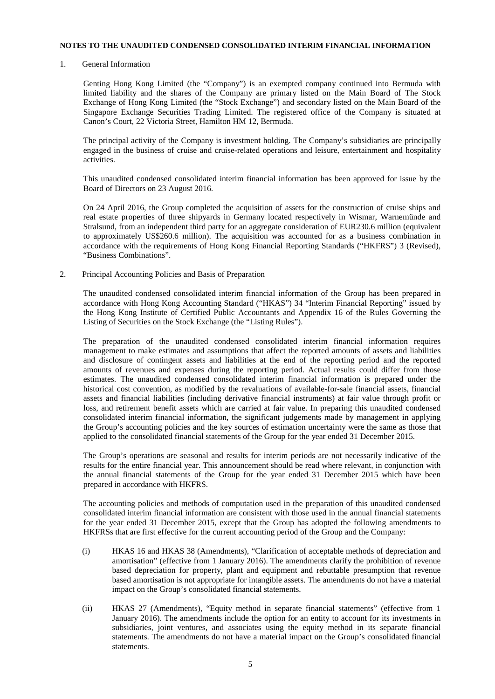#### **NOTES TO THE UNAUDITED CONDENSED CONSOLIDATED INTERIM FINANCIAL INFORMATION**

1. General Information

Genting Hong Kong Limited (the "Company") is an exempted company continued into Bermuda with limited liability and the shares of the Company are primary listed on the Main Board of The Stock Exchange of Hong Kong Limited (the "Stock Exchange") and secondary listed on the Main Board of the Singapore Exchange Securities Trading Limited. The registered office of the Company is situated at Canon's Court, 22 Victoria Street, Hamilton HM 12, Bermuda.

The principal activity of the Company is investment holding. The Company's subsidiaries are principally engaged in the business of cruise and cruise-related operations and leisure, entertainment and hospitality activities.

This unaudited condensed consolidated interim financial information has been approved for issue by the Board of Directors on 23 August 2016.

On 24 April 2016, the Group completed the acquisition of assets for the construction of cruise ships and real estate properties of three shipyards in Germany located respectively in Wismar, Warnemünde and Stralsund, from an independent third party for an aggregate consideration of EUR230.6 million (equivalent to approximately US\$260.6 million). The acquisition was accounted for as a business combination in accordance with the requirements of Hong Kong Financial Reporting Standards ("HKFRS") 3 (Revised), "Business Combinations".

2. Principal Accounting Policies and Basis of Preparation

The unaudited condensed consolidated interim financial information of the Group has been prepared in accordance with Hong Kong Accounting Standard ("HKAS") 34 "Interim Financial Reporting" issued by the Hong Kong Institute of Certified Public Accountants and Appendix 16 of the Rules Governing the Listing of Securities on the Stock Exchange (the "Listing Rules").

The preparation of the unaudited condensed consolidated interim financial information requires management to make estimates and assumptions that affect the reported amounts of assets and liabilities and disclosure of contingent assets and liabilities at the end of the reporting period and the reported amounts of revenues and expenses during the reporting period. Actual results could differ from those estimates. The unaudited condensed consolidated interim financial information is prepared under the historical cost convention, as modified by the revaluations of available-for-sale financial assets, financial assets and financial liabilities (including derivative financial instruments) at fair value through profit or loss, and retirement benefit assets which are carried at fair value. In preparing this unaudited condensed consolidated interim financial information, the significant judgements made by management in applying the Group's accounting policies and the key sources of estimation uncertainty were the same as those that applied to the consolidated financial statements of the Group for the year ended 31 December 2015.

The Group's operations are seasonal and results for interim periods are not necessarily indicative of the results for the entire financial year. This announcement should be read where relevant, in conjunction with the annual financial statements of the Group for the year ended 31 December 2015 which have been prepared in accordance with HKFRS.

The accounting policies and methods of computation used in the preparation of this unaudited condensed consolidated interim financial information are consistent with those used in the annual financial statements for the year ended 31 December 2015, except that the Group has adopted the following amendments to HKFRSs that are first effective for the current accounting period of the Group and the Company:

- (i) HKAS 16 and HKAS 38 (Amendments), "Clarification of acceptable methods of depreciation and amortisation" (effective from 1 January 2016). The amendments clarify the prohibition of revenue based depreciation for property, plant and equipment and rebuttable presumption that revenue based amortisation is not appropriate for intangible assets. The amendments do not have a material impact on the Group's consolidated financial statements.
- (ii) HKAS 27 (Amendments), "Equity method in separate financial statements" (effective from 1 January 2016). The amendments include the option for an entity to account for its investments in subsidiaries, joint ventures, and associates using the equity method in its separate financial statements. The amendments do not have a material impact on the Group's consolidated financial statements.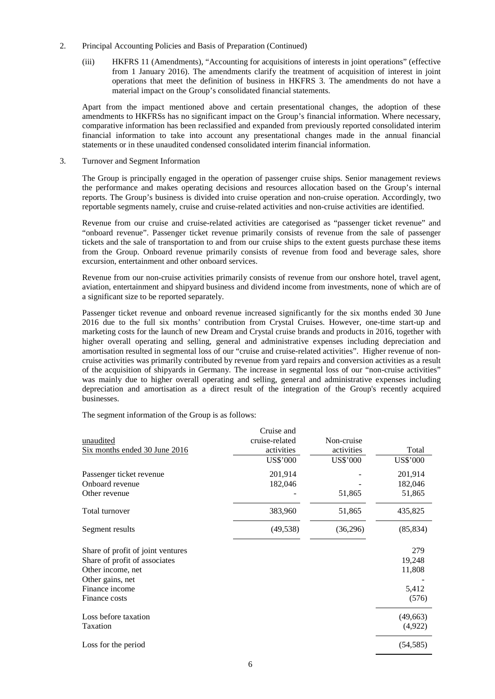- 2. Principal Accounting Policies and Basis of Preparation (Continued)
	- (iii) HKFRS 11 (Amendments), "Accounting for acquisitions of interests in joint operations" (effective from 1 January 2016). The amendments clarify the treatment of acquisition of interest in joint operations that meet the definition of business in HKFRS 3. The amendments do not have a material impact on the Group's consolidated financial statements.

Apart from the impact mentioned above and certain presentational changes, the adoption of these amendments to HKFRSs has no significant impact on the Group's financial information. Where necessary, comparative information has been reclassified and expanded from previously reported consolidated interim financial information to take into account any presentational changes made in the annual financial statements or in these unaudited condensed consolidated interim financial information.

3. Turnover and Segment Information

The Group is principally engaged in the operation of passenger cruise ships. Senior management reviews the performance and makes operating decisions and resources allocation based on the Group's internal reports. The Group's business is divided into cruise operation and non-cruise operation. Accordingly, two reportable segments namely, cruise and cruise-related activities and non-cruise activities are identified.

Revenue from our cruise and cruise-related activities are categorised as "passenger ticket revenue" and "onboard revenue". Passenger ticket revenue primarily consists of revenue from the sale of passenger tickets and the sale of transportation to and from our cruise ships to the extent guests purchase these items from the Group. Onboard revenue primarily consists of revenue from food and beverage sales, shore excursion, entertainment and other onboard services.

Revenue from our non-cruise activities primarily consists of revenue from our onshore hotel, travel agent, aviation, entertainment and shipyard business and dividend income from investments, none of which are of a significant size to be reported separately.

Passenger ticket revenue and onboard revenue increased significantly for the six months ended 30 June 2016 due to the full six months' contribution from Crystal Cruises. However, one-time start-up and marketing costs for the launch of new Dream and Crystal cruise brands and products in 2016, together with higher overall operating and selling, general and administrative expenses including depreciation and amortisation resulted in segmental loss of our "cruise and cruise-related activities". Higher revenue of noncruise activities was primarily contributed by revenue from yard repairs and conversion activities as a result of the acquisition of shipyards in Germany. The increase in segmental loss of our "non-cruise activities" was mainly due to higher overall operating and selling, general and administrative expenses including depreciation and amortisation as a direct result of the integration of the Group's recently acquired businesses.

The segment information of the Group is as follows:

|                                   | Cruise and     |            |           |
|-----------------------------------|----------------|------------|-----------|
| unaudited                         | cruise-related | Non-cruise |           |
| Six months ended 30 June 2016     | activities     | activities | Total     |
|                                   | US\$'000       | US\$'000   | US\$'000  |
| Passenger ticket revenue          | 201,914        |            | 201,914   |
| Onboard revenue                   | 182,046        |            | 182,046   |
| Other revenue                     |                | 51,865     | 51,865    |
| Total turnover                    | 383,960        | 51,865     | 435,825   |
| Segment results                   | (49, 538)      | (36,296)   | (85, 834) |
| Share of profit of joint ventures |                |            | 279       |
| Share of profit of associates     |                |            | 19,248    |
| Other income, net                 |                |            | 11,808    |
| Other gains, net                  |                |            |           |
| Finance income                    |                |            | 5,412     |
| Finance costs                     |                |            | (576)     |
| Loss before taxation              |                |            | (49, 663) |
| Taxation                          |                |            | (4,922)   |
| Loss for the period               |                |            | (54, 585) |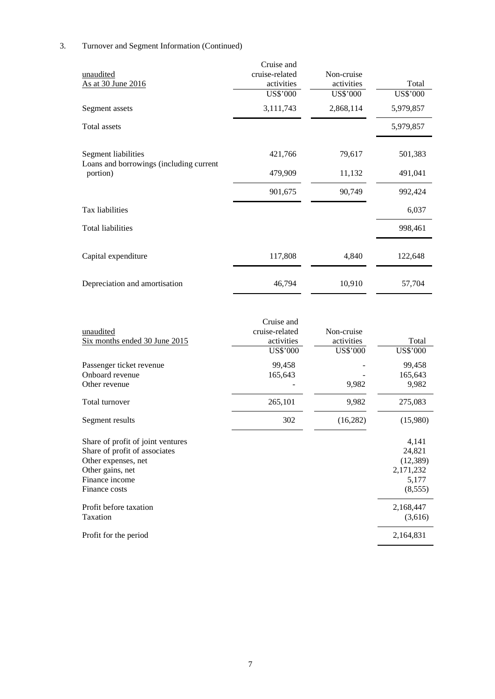## 3. Turnover and Segment Information (Continued)

|                                                     | Cruise and     |            |                 |
|-----------------------------------------------------|----------------|------------|-----------------|
| unaudited                                           | cruise-related | Non-cruise |                 |
| As at 30 June 2016                                  | activities     | activities | Total           |
|                                                     | US\$'000       | US\$'000   | <b>US\$'000</b> |
| Segment assets                                      | 3,111,743      | 2,868,114  | 5,979,857       |
| Total assets                                        |                |            | 5,979,857       |
| Segment liabilities                                 | 421,766        | 79,617     | 501,383         |
| Loans and borrowings (including current<br>portion) | 479,909        | 11,132     | 491,041         |
|                                                     | 901,675        | 90,749     | 992,424         |
| Tax liabilities                                     |                |            | 6,037           |
| <b>Total liabilities</b>                            |                |            | 998,461         |
| Capital expenditure                                 | 117,808        | 4,840      | 122,648         |
| Depreciation and amortisation                       | 46,794         | 10,910     | 57,704          |

| unaudited<br>Six months ended 30 June 2015                                                                                                       | Cruise and<br>cruise-related<br>activities<br>US\$'000 | Non-cruise<br>activities<br>US\$'000 | Total<br>US\$'000                                              |
|--------------------------------------------------------------------------------------------------------------------------------------------------|--------------------------------------------------------|--------------------------------------|----------------------------------------------------------------|
| Passenger ticket revenue<br>Onboard revenue<br>Other revenue                                                                                     | 99,458<br>165,643                                      | 9,982                                | 99,458<br>165,643<br>9,982                                     |
| Total turnover                                                                                                                                   | 265,101                                                | 9,982                                | 275,083                                                        |
| Segment results                                                                                                                                  | 302                                                    | (16, 282)                            | (15,980)                                                       |
| Share of profit of joint ventures<br>Share of profit of associates<br>Other expenses, net<br>Other gains, net<br>Finance income<br>Finance costs |                                                        |                                      | 4,141<br>24,821<br>(12, 389)<br>2,171,232<br>5,177<br>(8, 555) |
| Profit before taxation<br>Taxation                                                                                                               |                                                        |                                      | 2,168,447<br>(3,616)                                           |
| Profit for the period                                                                                                                            |                                                        |                                      | 2,164,831                                                      |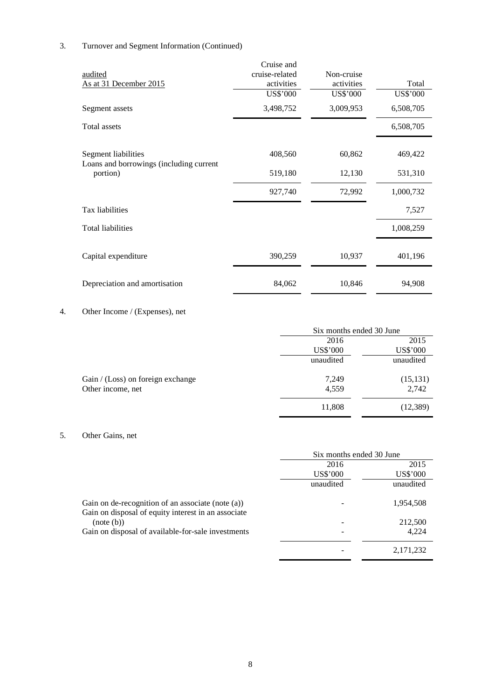## 3. Turnover and Segment Information (Continued)

|                                                     | Cruise and     |            |                 |
|-----------------------------------------------------|----------------|------------|-----------------|
| audited                                             | cruise-related | Non-cruise |                 |
| As at 31 December 2015                              | activities     | activities | Total           |
|                                                     | US\$'000       | US\$'000   | <b>US\$'000</b> |
| Segment assets                                      | 3,498,752      | 3,009,953  | 6,508,705       |
| Total assets                                        |                |            | 6,508,705       |
| Segment liabilities                                 | 408,560        | 60,862     | 469,422         |
| Loans and borrowings (including current<br>portion) | 519,180        | 12,130     | 531,310         |
|                                                     | 927,740        | 72,992     | 1,000,732       |
| Tax liabilities                                     |                |            | 7,527           |
| <b>Total liabilities</b>                            |                |            | 1,008,259       |
| Capital expenditure                                 | 390,259        | 10,937     | 401,196         |
| Depreciation and amortisation                       | 84,062         | 10,846     | 94,908          |

## 4. Other Income / (Expenses), net

|                                   | Six months ended 30 June |                 |
|-----------------------------------|--------------------------|-----------------|
|                                   | 2016                     | 2015            |
|                                   | US\$'000                 | <b>US\$'000</b> |
|                                   | unaudited                | unaudited       |
| Gain / (Loss) on foreign exchange | 7,249                    | (15, 131)       |
| Other income, net                 | 4,559                    | 2,742           |
|                                   | 11,808                   | (12, 389)       |

## 5. Other Gains, net

|                                                                                                          | Six months ended 30 June |             |
|----------------------------------------------------------------------------------------------------------|--------------------------|-------------|
|                                                                                                          | 2016                     | 2015        |
|                                                                                                          | US\$'000                 | US\$'000    |
|                                                                                                          | unaudited                | unaudited   |
| Gain on de-recognition of an associate (note (a))<br>Gain on disposal of equity interest in an associate |                          | 1,954,508   |
| (note (b))                                                                                               |                          | 212,500     |
| Gain on disposal of available-for-sale investments                                                       |                          | 4,224       |
|                                                                                                          |                          | 2, 171, 232 |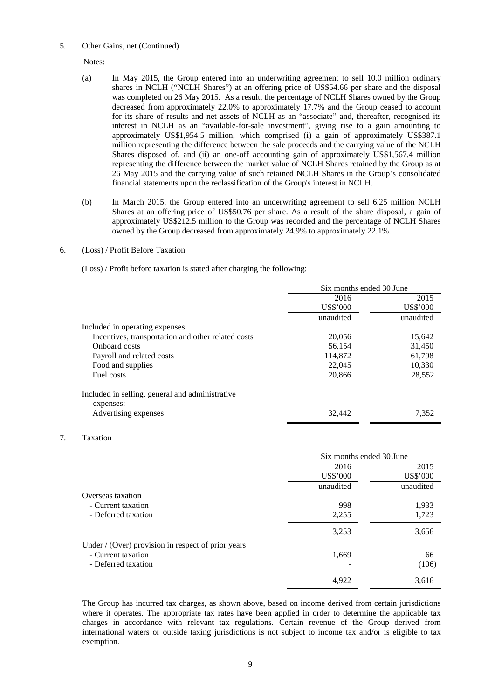#### 5. Other Gains, net (Continued)

Notes:

- (a) In May 2015, the Group entered into an underwriting agreement to sell 10.0 million ordinary shares in NCLH ("NCLH Shares") at an offering price of US\$54.66 per share and the disposal was completed on 26 May 2015. As a result, the percentage of NCLH Shares owned by the Group decreased from approximately 22.0% to approximately 17.7% and the Group ceased to account for its share of results and net assets of NCLH as an "associate" and, thereafter, recognised its interest in NCLH as an "available-for-sale investment", giving rise to a gain amounting to approximately US\$1,954.5 million, which comprised (i) a gain of approximately US\$387.1 million representing the difference between the sale proceeds and the carrying value of the NCLH Shares disposed of, and (ii) an one-off accounting gain of approximately US\$1,567.4 million representing the difference between the market value of NCLH Shares retained by the Group as at 26 May 2015 and the carrying value of such retained NCLH Shares in the Group's consolidated financial statements upon the reclassification of the Group's interest in NCLH.
- (b) In March 2015, the Group entered into an underwriting agreement to sell 6.25 million NCLH Shares at an offering price of US\$50.76 per share. As a result of the share disposal, a gain of approximately US\$212.5 million to the Group was recorded and the percentage of NCLH Shares owned by the Group decreased from approximately 24.9% to approximately 22.1%.
- 6. (Loss) / Profit Before Taxation

(Loss) / Profit before taxation is stated after charging the following:

|                                                    | Six months ended 30 June |           |
|----------------------------------------------------|--------------------------|-----------|
|                                                    | 2016                     | 2015      |
|                                                    | US\$'000                 | US\$'000  |
|                                                    | unaudited                | unaudited |
| Included in operating expenses:                    |                          |           |
| Incentives, transportation and other related costs | 20,056                   | 15,642    |
| Onboard costs                                      | 56,154                   | 31,450    |
| Payroll and related costs                          | 114,872                  | 61,798    |
| Food and supplies                                  | 22,045                   | 10,330    |
| Fuel costs                                         | 20,866                   | 28,552    |
| Included in selling, general and administrative    |                          |           |
| expenses:                                          |                          |           |
| Advertising expenses                               | 32,442                   | 7,352     |

#### 7. Taxation

|                                                    | Six months ended 30 June |           |
|----------------------------------------------------|--------------------------|-----------|
|                                                    | 2016                     | 2015      |
|                                                    | US\$'000                 | US\$'000  |
|                                                    | unaudited                | unaudited |
| Overseas taxation                                  |                          |           |
| - Current taxation                                 | 998                      | 1,933     |
| - Deferred taxation                                | 2,255                    | 1,723     |
|                                                    | 3,253                    | 3,656     |
| Under / (Over) provision in respect of prior years |                          |           |
| - Current taxation                                 | 1,669                    | 66        |
| - Deferred taxation                                |                          | (106)     |
|                                                    | 4.922                    | 3,616     |

The Group has incurred tax charges, as shown above, based on income derived from certain jurisdictions where it operates. The appropriate tax rates have been applied in order to determine the applicable tax charges in accordance with relevant tax regulations. Certain revenue of the Group derived from international waters or outside taxing jurisdictions is not subject to income tax and/or is eligible to tax exemption.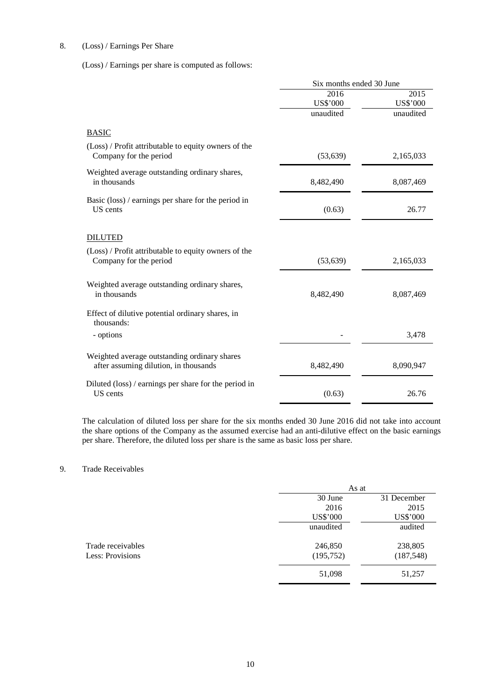## 8. (Loss) / Earnings Per Share

(Loss) / Earnings per share is computed as follows:

|                                                                                       | Six months ended 30 June |                 |
|---------------------------------------------------------------------------------------|--------------------------|-----------------|
|                                                                                       | 2016                     | 2015            |
|                                                                                       | <b>US\$'000</b>          | <b>US\$'000</b> |
|                                                                                       | unaudited                | unaudited       |
| <b>BASIC</b>                                                                          |                          |                 |
| (Loss) / Profit attributable to equity owners of the<br>Company for the period        | (53, 639)                | 2,165,033       |
| Weighted average outstanding ordinary shares,<br>in thousands                         | 8,482,490                | 8,087,469       |
| Basic (loss) / earnings per share for the period in<br>US cents                       | (0.63)                   | 26.77           |
| <b>DILUTED</b>                                                                        |                          |                 |
| (Loss) / Profit attributable to equity owners of the<br>Company for the period        | (53, 639)                | 2,165,033       |
| Weighted average outstanding ordinary shares,<br>in thousands                         | 8,482,490                | 8,087,469       |
| Effect of dilutive potential ordinary shares, in<br>thousands:                        |                          |                 |
| - options                                                                             |                          | 3,478           |
| Weighted average outstanding ordinary shares<br>after assuming dilution, in thousands | 8,482,490                | 8,090,947       |
| Diluted (loss) / earnings per share for the period in<br>US cents                     | (0.63)                   | 26.76           |

The calculation of diluted loss per share for the six months ended 30 June 2016 did not take into account the share options of the Company as the assumed exercise had an anti-dilutive effect on the basic earnings per share. Therefore, the diluted loss per share is the same as basic loss per share.

## 9. Trade Receivables

|                   | As at      |                 |
|-------------------|------------|-----------------|
|                   | 30 June    | 31 December     |
|                   | 2016       | 2015            |
|                   | US\$'000   | <b>US\$'000</b> |
|                   | unaudited  | audited         |
|                   |            |                 |
| Trade receivables | 246,850    | 238,805         |
| Less: Provisions  | (195, 752) | (187, 548)      |
|                   | 51,098     | 51,257          |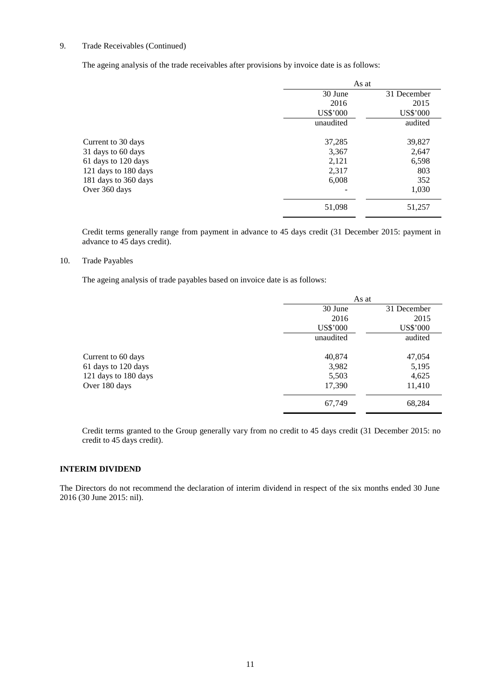## 9. Trade Receivables (Continued)

The ageing analysis of the trade receivables after provisions by invoice date is as follows:

|                      | As at     |             |
|----------------------|-----------|-------------|
|                      | 30 June   | 31 December |
|                      | 2016      | 2015        |
|                      | US\$'000  | US\$'000    |
|                      | unaudited | audited     |
| Current to 30 days   | 37,285    | 39,827      |
| 31 days to 60 days   | 3,367     | 2,647       |
| 61 days to 120 days  | 2,121     | 6,598       |
| 121 days to 180 days | 2,317     | 803         |
| 181 days to 360 days | 6,008     | 352         |
| Over 360 days        |           | 1,030       |
|                      | 51,098    | 51,257      |

Credit terms generally range from payment in advance to 45 days credit (31 December 2015: payment in advance to 45 days credit).

#### 10. Trade Payables

The ageing analysis of trade payables based on invoice date is as follows:

|                      | As at     |             |
|----------------------|-----------|-------------|
|                      | 30 June   | 31 December |
|                      | 2016      | 2015        |
|                      | US\$'000  | US\$'000    |
|                      | unaudited | audited     |
| Current to 60 days   | 40,874    | 47,054      |
| 61 days to 120 days  | 3,982     | 5,195       |
| 121 days to 180 days | 5,503     | 4,625       |
| Over 180 days        | 17,390    | 11,410      |
|                      | 67,749    | 68,284      |

Credit terms granted to the Group generally vary from no credit to 45 days credit (31 December 2015: no credit to 45 days credit).

## **INTERIM DIVIDEND**

The Directors do not recommend the declaration of interim dividend in respect of the six months ended 30 June 2016 (30 June 2015: nil).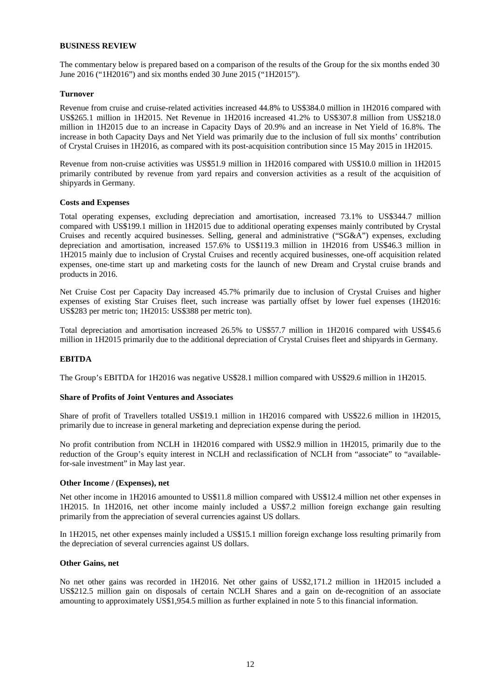#### **BUSINESS REVIEW**

The commentary below is prepared based on a comparison of the results of the Group for the six months ended 30 June 2016 ("1H2016") and six months ended 30 June 2015 ("1H2015").

#### **Turnover**

Revenue from cruise and cruise-related activities increased 44.8% to US\$384.0 million in 1H2016 compared with US\$265.1 million in 1H2015. Net Revenue in 1H2016 increased 41.2% to US\$307.8 million from US\$218.0 million in 1H2015 due to an increase in Capacity Days of 20.9% and an increase in Net Yield of 16.8%. The increase in both Capacity Days and Net Yield was primarily due to the inclusion of full six months' contribution of Crystal Cruises in 1H2016, as compared with its post-acquisition contribution since 15 May 2015 in 1H2015.

Revenue from non-cruise activities was US\$51.9 million in 1H2016 compared with US\$10.0 million in 1H2015 primarily contributed by revenue from yard repairs and conversion activities as a result of the acquisition of shipyards in Germany.

#### **Costs and Expenses**

Total operating expenses, excluding depreciation and amortisation, increased 73.1% to US\$344.7 million compared with US\$199.1 million in 1H2015 due to additional operating expenses mainly contributed by Crystal Cruises and recently acquired businesses. Selling, general and administrative ("SG&A") expenses, excluding depreciation and amortisation, increased 157.6% to US\$119.3 million in 1H2016 from US\$46.3 million in 1H2015 mainly due to inclusion of Crystal Cruises and recently acquired businesses, one-off acquisition related expenses, one-time start up and marketing costs for the launch of new Dream and Crystal cruise brands and products in 2016.

Net Cruise Cost per Capacity Day increased 45.7% primarily due to inclusion of Crystal Cruises and higher expenses of existing Star Cruises fleet, such increase was partially offset by lower fuel expenses (1H2016: US\$283 per metric ton; 1H2015: US\$388 per metric ton).

Total depreciation and amortisation increased 26.5% to US\$57.7 million in 1H2016 compared with US\$45.6 million in 1H2015 primarily due to the additional depreciation of Crystal Cruises fleet and shipyards in Germany.

#### **EBITDA**

The Group's EBITDA for 1H2016 was negative US\$28.1 million compared with US\$29.6 million in 1H2015.

#### **Share of Profits of Joint Ventures and Associates**

Share of profit of Travellers totalled US\$19.1 million in 1H2016 compared with US\$22.6 million in 1H2015, primarily due to increase in general marketing and depreciation expense during the period.

No profit contribution from NCLH in 1H2016 compared with US\$2.9 million in 1H2015, primarily due to the reduction of the Group's equity interest in NCLH and reclassification of NCLH from "associate" to "availablefor-sale investment" in May last year.

#### **Other Income / (Expenses), net**

Net other income in 1H2016 amounted to US\$11.8 million compared with US\$12.4 million net other expenses in 1H2015. In 1H2016, net other income mainly included a US\$7.2 million foreign exchange gain resulting primarily from the appreciation of several currencies against US dollars.

In 1H2015, net other expenses mainly included a US\$15.1 million foreign exchange loss resulting primarily from the depreciation of several currencies against US dollars.

#### **Other Gains, net**

No net other gains was recorded in 1H2016. Net other gains of US\$2,171.2 million in 1H2015 included a US\$212.5 million gain on disposals of certain NCLH Shares and a gain on de-recognition of an associate amounting to approximately US\$1,954.5 million as further explained in note 5 to this financial information.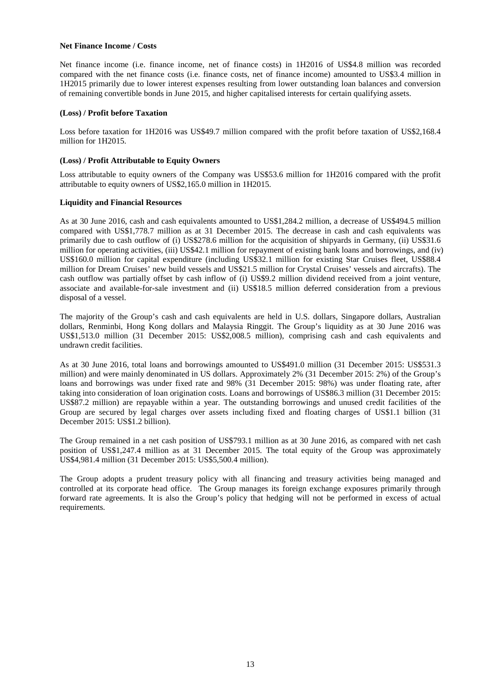#### **Net Finance Income / Costs**

Net finance income (i.e. finance income, net of finance costs) in 1H2016 of US\$4.8 million was recorded compared with the net finance costs (i.e. finance costs, net of finance income) amounted to US\$3.4 million in 1H2015 primarily due to lower interest expenses resulting from lower outstanding loan balances and conversion of remaining convertible bonds in June 2015, and higher capitalised interests for certain qualifying assets.

### **(Loss) / Profit before Taxation**

Loss before taxation for 1H2016 was US\$49.7 million compared with the profit before taxation of US\$2,168.4 million for 1H2015.

### **(Loss) / Profit Attributable to Equity Owners**

Loss attributable to equity owners of the Company was US\$53.6 million for 1H2016 compared with the profit attributable to equity owners of US\$2,165.0 million in 1H2015.

## **Liquidity and Financial Resources**

As at 30 June 2016, cash and cash equivalents amounted to US\$1,284.2 million, a decrease of US\$494.5 million compared with US\$1,778.7 million as at 31 December 2015. The decrease in cash and cash equivalents was primarily due to cash outflow of (i) US\$278.6 million for the acquisition of shipyards in Germany, (ii) US\$31.6 million for operating activities, (iii) US\$42.1 million for repayment of existing bank loans and borrowings, and (iv) US\$160.0 million for capital expenditure (including US\$32.1 million for existing Star Cruises fleet, US\$88.4 million for Dream Cruises' new build vessels and US\$21.5 million for Crystal Cruises' vessels and aircrafts). The cash outflow was partially offset by cash inflow of (i) US\$9.2 million dividend received from a joint venture, associate and available-for-sale investment and (ii) US\$18.5 million deferred consideration from a previous disposal of a vessel.

The majority of the Group's cash and cash equivalents are held in U.S. dollars, Singapore dollars, Australian dollars, Renminbi, Hong Kong dollars and Malaysia Ringgit. The Group's liquidity as at 30 June 2016 was US\$1,513.0 million (31 December 2015: US\$2,008.5 million), comprising cash and cash equivalents and undrawn credit facilities.

As at 30 June 2016, total loans and borrowings amounted to US\$491.0 million (31 December 2015: US\$531.3 million) and were mainly denominated in US dollars. Approximately 2% (31 December 2015: 2%) of the Group's loans and borrowings was under fixed rate and 98% (31 December 2015: 98%) was under floating rate, after taking into consideration of loan origination costs. Loans and borrowings of US\$86.3 million (31 December 2015: US\$87.2 million) are repayable within a year. The outstanding borrowings and unused credit facilities of the Group are secured by legal charges over assets including fixed and floating charges of US\$1.1 billion (31 December 2015: US\$1.2 billion).

The Group remained in a net cash position of US\$793.1 million as at 30 June 2016, as compared with net cash position of US\$1,247.4 million as at 31 December 2015. The total equity of the Group was approximately US\$4,981.4 million (31 December 2015: US\$5,500.4 million).

The Group adopts a prudent treasury policy with all financing and treasury activities being managed and controlled at its corporate head office. The Group manages its foreign exchange exposures primarily through forward rate agreements. It is also the Group's policy that hedging will not be performed in excess of actual requirements.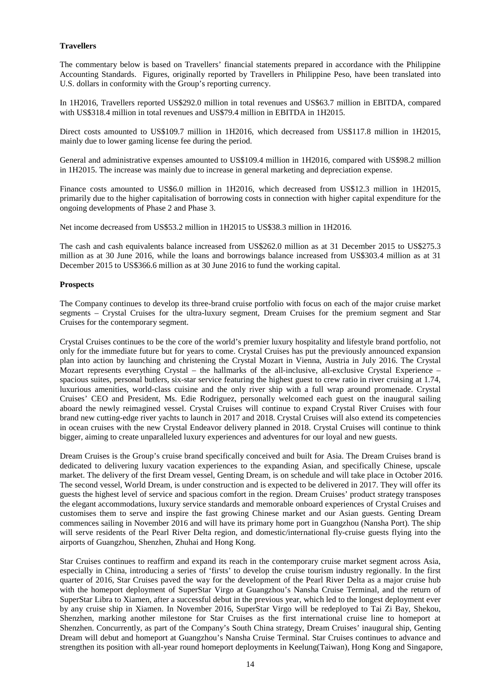## **Travellers**

The commentary below is based on Travellers' financial statements prepared in accordance with the Philippine Accounting Standards. Figures, originally reported by Travellers in Philippine Peso, have been translated into U.S. dollars in conformity with the Group's reporting currency.

In 1H2016, Travellers reported US\$292.0 million in total revenues and US\$63.7 million in EBITDA, compared with US\$318.4 million in total revenues and US\$79.4 million in EBITDA in 1H2015.

Direct costs amounted to US\$109.7 million in 1H2016, which decreased from US\$117.8 million in 1H2015, mainly due to lower gaming license fee during the period.

General and administrative expenses amounted to US\$109.4 million in 1H2016, compared with US\$98.2 million in 1H2015. The increase was mainly due to increase in general marketing and depreciation expense.

Finance costs amounted to US\$6.0 million in 1H2016, which decreased from US\$12.3 million in 1H2015, primarily due to the higher capitalisation of borrowing costs in connection with higher capital expenditure for the ongoing developments of Phase 2 and Phase 3.

Net income decreased from US\$53.2 million in 1H2015 to US\$38.3 million in 1H2016.

The cash and cash equivalents balance increased from US\$262.0 million as at 31 December 2015 to US\$275.3 million as at 30 June 2016, while the loans and borrowings balance increased from US\$303.4 million as at 31 December 2015 to US\$366.6 million as at 30 June 2016 to fund the working capital.

### **Prospects**

The Company continues to develop its three-brand cruise portfolio with focus on each of the major cruise market segments – Crystal Cruises for the ultra-luxury segment, Dream Cruises for the premium segment and Star Cruises for the contemporary segment.

Crystal Cruises continues to be the core of the world's premier luxury hospitality and lifestyle brand portfolio, not only for the immediate future but for years to come. Crystal Cruises has put the previously announced expansion plan into action by launching and christening the Crystal Mozart in Vienna, Austria in July 2016. The Crystal Mozart represents everything Crystal – the hallmarks of the all-inclusive, all-exclusive Crystal Experience – spacious suites, personal butlers, six-star service featuring the highest guest to crew ratio in river cruising at 1.74, luxurious amenities, world-class cuisine and the only river ship with a full wrap around promenade. Crystal Cruises' CEO and President, Ms. Edie Rodriguez, personally welcomed each guest on the inaugural sailing aboard the newly reimagined vessel. Crystal Cruises will continue to expand Crystal River Cruises with four brand new cutting-edge river yachts to launch in 2017 and 2018. Crystal Cruises will also extend its competencies in ocean cruises with the new Crystal Endeavor delivery planned in 2018. Crystal Cruises will continue to think bigger, aiming to create unparalleled luxury experiences and adventures for our loyal and new guests.

Dream Cruises is the Group's cruise brand specifically conceived and built for Asia. The Dream Cruises brand is dedicated to delivering luxury vacation experiences to the expanding Asian, and specifically Chinese, upscale market. The delivery of the first Dream vessel, Genting Dream, is on schedule and will take place in October 2016. The second vessel, World Dream, is under construction and is expected to be delivered in 2017. They will offer its guests the highest level of service and spacious comfort in the region. Dream Cruises' product strategy transposes the elegant accommodations, luxury service standards and memorable onboard experiences of Crystal Cruises and customises them to serve and inspire the fast growing Chinese market and our Asian guests. Genting Dream commences sailing in November 2016 and will have its primary home port in Guangzhou (Nansha Port). The ship will serve residents of the Pearl River Delta region, and domestic/international fly-cruise guests flying into the airports of Guangzhou, Shenzhen, Zhuhai and Hong Kong.

Star Cruises continues to reaffirm and expand its reach in the contemporary cruise market segment across Asia, especially in China, introducing a series of 'firsts' to develop the cruise tourism industry regionally. In the first quarter of 2016, Star Cruises paved the way for the development of the Pearl River Delta as a major cruise hub with the homeport deployment of SuperStar Virgo at Guangzhou's Nansha Cruise Terminal, and the return of SuperStar Libra to Xiamen, after a successful debut in the previous year, which led to the longest deployment ever by any cruise ship in Xiamen. In November 2016, SuperStar Virgo will be redeployed to Tai Zi Bay, Shekou, Shenzhen, marking another milestone for Star Cruises as the first international cruise line to homeport at Shenzhen. Concurrently, as part of the Company's South China strategy, Dream Cruises' inaugural ship, Genting Dream will debut and homeport at Guangzhou's Nansha Cruise Terminal. Star Cruises continues to advance and strengthen its position with all-year round homeport deployments in Keelung(Taiwan), Hong Kong and Singapore,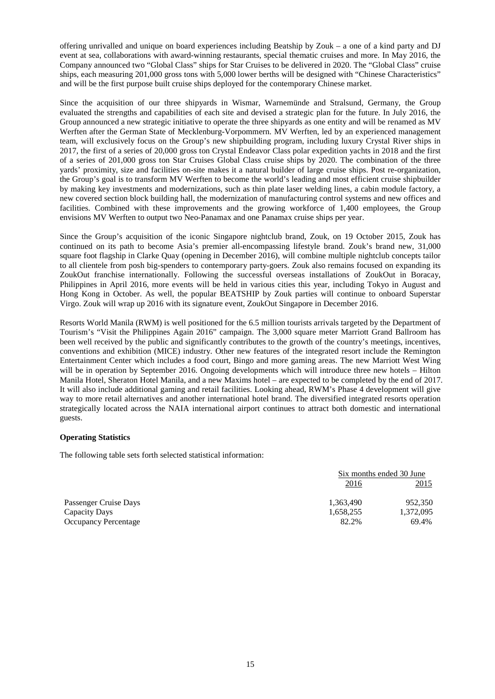offering unrivalled and unique on board experiences including Beatship by Zouk – a one of a kind party and DJ event at sea, collaborations with award-winning restaurants, special thematic cruises and more. In May 2016, the Company announced two "Global Class" ships for Star Cruises to be delivered in 2020. The "Global Class" cruise ships, each measuring 201,000 gross tons with 5,000 lower berths will be designed with "Chinese Characteristics" and will be the first purpose built cruise ships deployed for the contemporary Chinese market.

Since the acquisition of our three shipyards in Wismar, Warnemünde and Stralsund, Germany, the Group evaluated the strengths and capabilities of each site and devised a strategic plan for the future. In July 2016, the Group announced a new strategic initiative to operate the three shipyards as one entity and will be renamed as MV Werften after the German State of Mecklenburg-Vorpommern. MV Werften, led by an experienced management team, will exclusively focus on the Group's new shipbuilding program, including luxury Crystal River ships in 2017, the first of a series of 20,000 gross ton Crystal Endeavor Class polar expedition yachts in 2018 and the first of a series of 201,000 gross ton Star Cruises Global Class cruise ships by 2020. The combination of the three yards' proximity, size and facilities on-site makes it a natural builder of large cruise ships. Post re-organization, the Group's goal is to transform MV Werften to become the world's leading and most efficient cruise shipbuilder by making key investments and modernizations, such as thin plate laser welding lines, a cabin module factory, a new covered section block building hall, the modernization of manufacturing control systems and new offices and facilities. Combined with these improvements and the growing workforce of 1,400 employees, the Group envisions MV Werften to output two Neo-Panamax and one Panamax cruise ships per year.

Since the Group's acquisition of the iconic Singapore nightclub brand, Zouk, on 19 October 2015, Zouk has continued on its path to become Asia's premier all-encompassing lifestyle brand. Zouk's brand new, 31,000 square foot flagship in Clarke Quay (opening in December 2016), will combine multiple nightclub concepts tailor to all clientele from posh big-spenders to contemporary party-goers. Zouk also remains focused on expanding its ZoukOut franchise internationally. Following the successful overseas installations of ZoukOut in Boracay, Philippines in April 2016, more events will be held in various cities this year, including Tokyo in August and Hong Kong in October. As well, the popular BEATSHIP by Zouk parties will continue to onboard Superstar Virgo. Zouk will wrap up 2016 with its signature event, ZoukOut Singapore in December 2016.

Resorts World Manila (RWM) is well positioned for the 6.5 million tourists arrivals targeted by the Department of Tourism's "Visit the Philippines Again 2016" campaign. The 3,000 square meter Marriott Grand Ballroom has been well received by the public and significantly contributes to the growth of the country's meetings, incentives, conventions and exhibition (MICE) industry. Other new features of the integrated resort include the Remington Entertainment Center which includes a food court, Bingo and more gaming areas. The new Marriott West Wing will be in operation by September 2016. Ongoing developments which will introduce three new hotels – Hilton Manila Hotel, Sheraton Hotel Manila, and a new Maxims hotel – are expected to be completed by the end of 2017. It will also include additional gaming and retail facilities. Looking ahead, RWM's Phase 4 development will give way to more retail alternatives and another international hotel brand. The diversified integrated resorts operation strategically located across the NAIA international airport continues to attract both domestic and international guests.

### **Operating Statistics**

The following table sets forth selected statistical information:

|                             | Six months ended 30 June |           |
|-----------------------------|--------------------------|-----------|
|                             | 2016                     | 2015      |
| Passenger Cruise Days       | 1,363,490                | 952,350   |
| Capacity Days               | 1,658,255                | 1,372,095 |
| <b>Occupancy Percentage</b> | 82.2%                    | 69.4%     |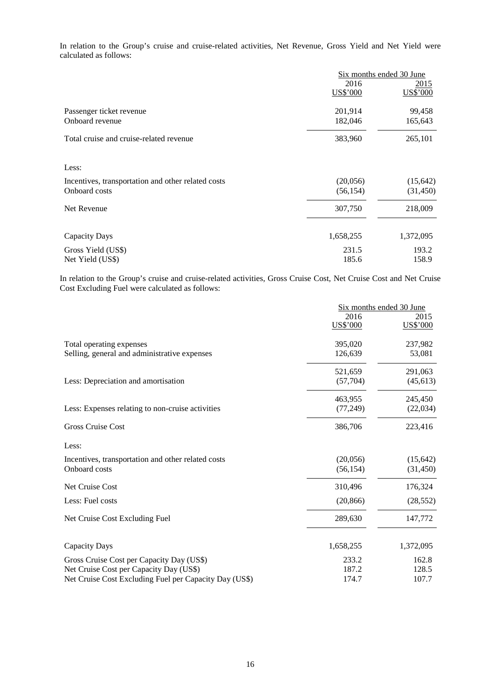In relation to the Group's cruise and cruise-related activities, Net Revenue, Gross Yield and Net Yield were calculated as follows:

|                                                    | Six months ended 30 June |                         |
|----------------------------------------------------|--------------------------|-------------------------|
|                                                    | 2016<br>US\$'000         | <u>2015</u><br>US\$'000 |
| Passenger ticket revenue<br>Onboard revenue        | 201,914<br>182,046       | 99,458<br>165,643       |
| Total cruise and cruise-related revenue            | 383,960                  | 265,101                 |
| Less:                                              |                          |                         |
| Incentives, transportation and other related costs | (20,056)                 | (15, 642)               |
| Onboard costs                                      | (56, 154)                | (31, 450)               |
| Net Revenue                                        | 307,750                  | 218,009                 |
| Capacity Days                                      | 1,658,255                | 1,372,095               |
| Gross Yield (US\$)                                 | 231.5                    | 193.2                   |
| Net Yield (US\$)                                   | 185.6                    | 158.9                   |

In relation to the Group's cruise and cruise-related activities, Gross Cruise Cost, Net Cruise Cost and Net Cruise Cost Excluding Fuel were calculated as follows:

|                                                        | Six months ended 30 June |                  |
|--------------------------------------------------------|--------------------------|------------------|
|                                                        | 2016<br>US\$'000         | 2015<br>US\$'000 |
| Total operating expenses                               | 395,020                  | 237,982          |
| Selling, general and administrative expenses           | 126,639                  | 53,081           |
|                                                        | 521,659                  | 291,063          |
| Less: Depreciation and amortisation                    | (57,704)                 | (45, 613)        |
|                                                        | 463,955                  | 245,450          |
| Less: Expenses relating to non-cruise activities       | (77, 249)                | (22,034)         |
| <b>Gross Cruise Cost</b>                               | 386,706                  | 223,416          |
| Less:                                                  |                          |                  |
| Incentives, transportation and other related costs     | (20,056)                 | (15, 642)        |
| Onboard costs                                          | (56, 154)                | (31, 450)        |
| Net Cruise Cost                                        | 310,496                  | 176,324          |
| Less: Fuel costs                                       | (20, 866)                | (28, 552)        |
| Net Cruise Cost Excluding Fuel                         | 289,630                  | 147,772          |
| Capacity Days                                          | 1,658,255                | 1,372,095        |
| Gross Cruise Cost per Capacity Day (US\$)              | 233.2                    | 162.8            |
| Net Cruise Cost per Capacity Day (US\$)                | 187.2                    | 128.5            |
| Net Cruise Cost Excluding Fuel per Capacity Day (US\$) | 174.7                    | 107.7            |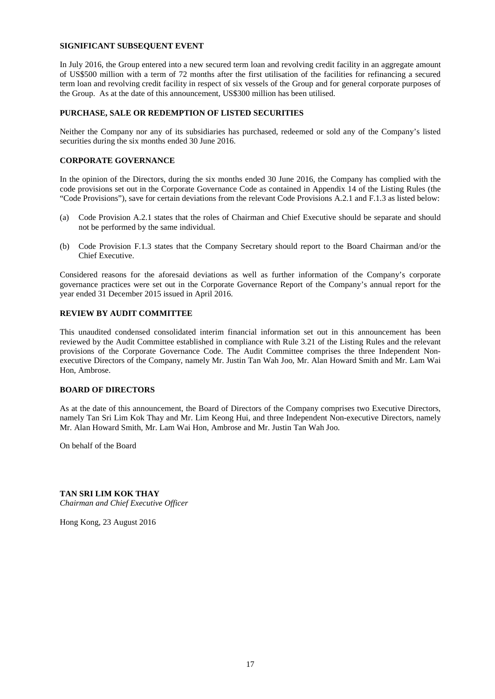#### **SIGNIFICANT SUBSEQUENT EVENT**

In July 2016, the Group entered into a new secured term loan and revolving credit facility in an aggregate amount of US\$500 million with a term of 72 months after the first utilisation of the facilities for refinancing a secured term loan and revolving credit facility in respect of six vessels of the Group and for general corporate purposes of the Group. As at the date of this announcement, US\$300 million has been utilised.

#### **PURCHASE, SALE OR REDEMPTION OF LISTED SECURITIES**

Neither the Company nor any of its subsidiaries has purchased, redeemed or sold any of the Company's listed securities during the six months ended 30 June 2016.

#### **CORPORATE GOVERNANCE**

In the opinion of the Directors, during the six months ended 30 June 2016, the Company has complied with the code provisions set out in the Corporate Governance Code as contained in Appendix 14 of the Listing Rules (the "Code Provisions"), save for certain deviations from the relevant Code Provisions A.2.1 and F.1.3 as listed below:

- (a) Code Provision A.2.1 states that the roles of Chairman and Chief Executive should be separate and should not be performed by the same individual.
- (b) Code Provision F.1.3 states that the Company Secretary should report to the Board Chairman and/or the Chief Executive.

Considered reasons for the aforesaid deviations as well as further information of the Company's corporate governance practices were set out in the Corporate Governance Report of the Company's annual report for the year ended 31 December 2015 issued in April 2016.

## **REVIEW BY AUDIT COMMITTEE**

This unaudited condensed consolidated interim financial information set out in this announcement has been reviewed by the Audit Committee established in compliance with Rule 3.21 of the Listing Rules and the relevant provisions of the Corporate Governance Code. The Audit Committee comprises the three Independent Nonexecutive Directors of the Company, namely Mr. Justin Tan Wah Joo, Mr. Alan Howard Smith and Mr. Lam Wai Hon, Ambrose.

#### **BOARD OF DIRECTORS**

As at the date of this announcement, the Board of Directors of the Company comprises two Executive Directors, namely Tan Sri Lim Kok Thay and Mr. Lim Keong Hui, and three Independent Non-executive Directors, namely Mr. Alan Howard Smith, Mr. Lam Wai Hon, Ambrose and Mr. Justin Tan Wah Joo.

On behalf of the Board

**TAN SRI LIM KOK THAY** *Chairman and Chief Executive Officer*

Hong Kong, 23 August 2016